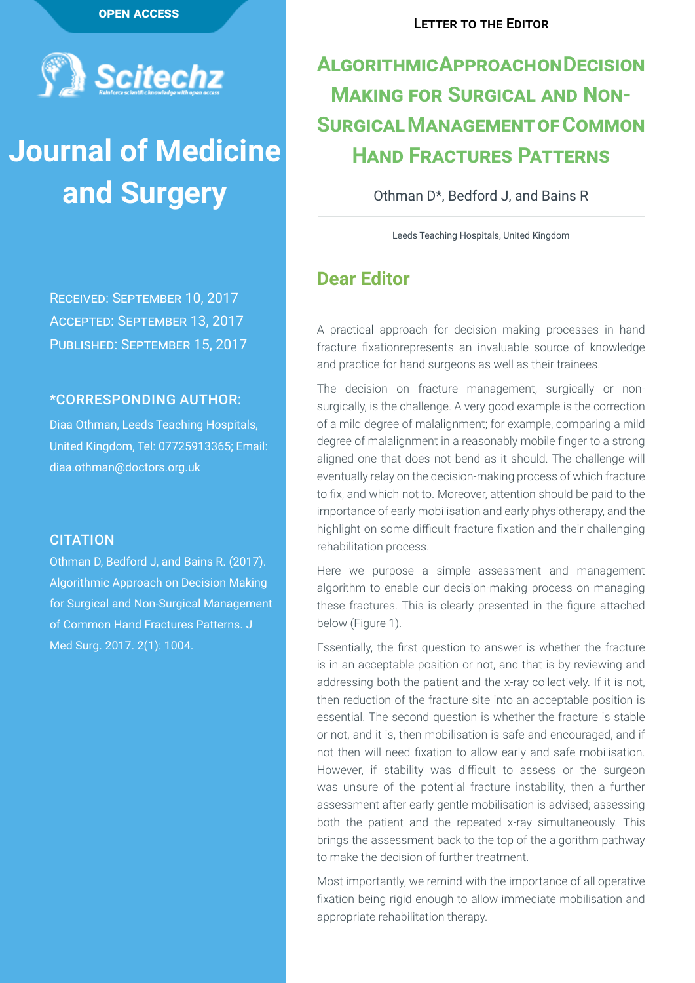

# **Journal of Medicine and Surgery**

Received: September 10, 2017 Accepted: September 13, 2017 Published: September 15, 2017

### \*CORRESPONDING AUTHOR:

Diaa Othman, Leeds Teaching Hospitals, United Kingdom, Tel: 07725913365; Email: diaa.othman@doctors.org.uk

### **CITATION**

Othman D, Bedford J, and Bains R. (2017). Algorithmic Approach on Decision Making for Surgical and Non-Surgical Management of Common Hand Fractures Patterns. J Med Surg. 2017. 2(1): 1004.

## **Algorithmic Approach on Decision Making for Surgical and Non-Surgical Management of Common Hand Fractures Patterns**

Othman D\*, Bedford J, and Bains R

Leeds Teaching Hospitals, United Kingdom

### **Dear Editor**

A practical approach for decision making processes in hand fracture fixationrepresents an invaluable source of knowledge and practice for hand surgeons as well as their trainees.

The decision on fracture management, surgically or nonsurgically, is the challenge. A very good example is the correction of a mild degree of malalignment; for example, comparing a mild degree of malalignment in a reasonably mobile finger to a strong aligned one that does not bend as it should. The challenge will eventually relay on the decision-making process of which fracture to fix, and which not to. Moreover, attention should be paid to the importance of early mobilisation and early physiotherapy, and the highlight on some difficult fracture fixation and their challenging rehabilitation process.

Here we purpose a simple assessment and management algorithm to enable our decision-making process on managing these fractures. This is clearly presented in the figure attached below (Figure 1).

Essentially, the first question to answer is whether the fracture is in an acceptable position or not, and that is by reviewing and addressing both the patient and the x-ray collectively. If it is not, then reduction of the fracture site into an acceptable position is essential. The second question is whether the fracture is stable or not, and it is, then mobilisation is safe and encouraged, and if not then will need fixation to allow early and safe mobilisation. However, if stability was difficult to assess or the surgeon was unsure of the potential fracture instability, then a further assessment after early gentle mobilisation is advised; assessing both the patient and the repeated x-ray simultaneously. This brings the assessment back to the top of the algorithm pathway to make the decision of further treatment.

Most importantly, we remind with the importance of all operative fixation being rigid enough to allow immediate mobilisation and appropriate rehabilitation therapy.